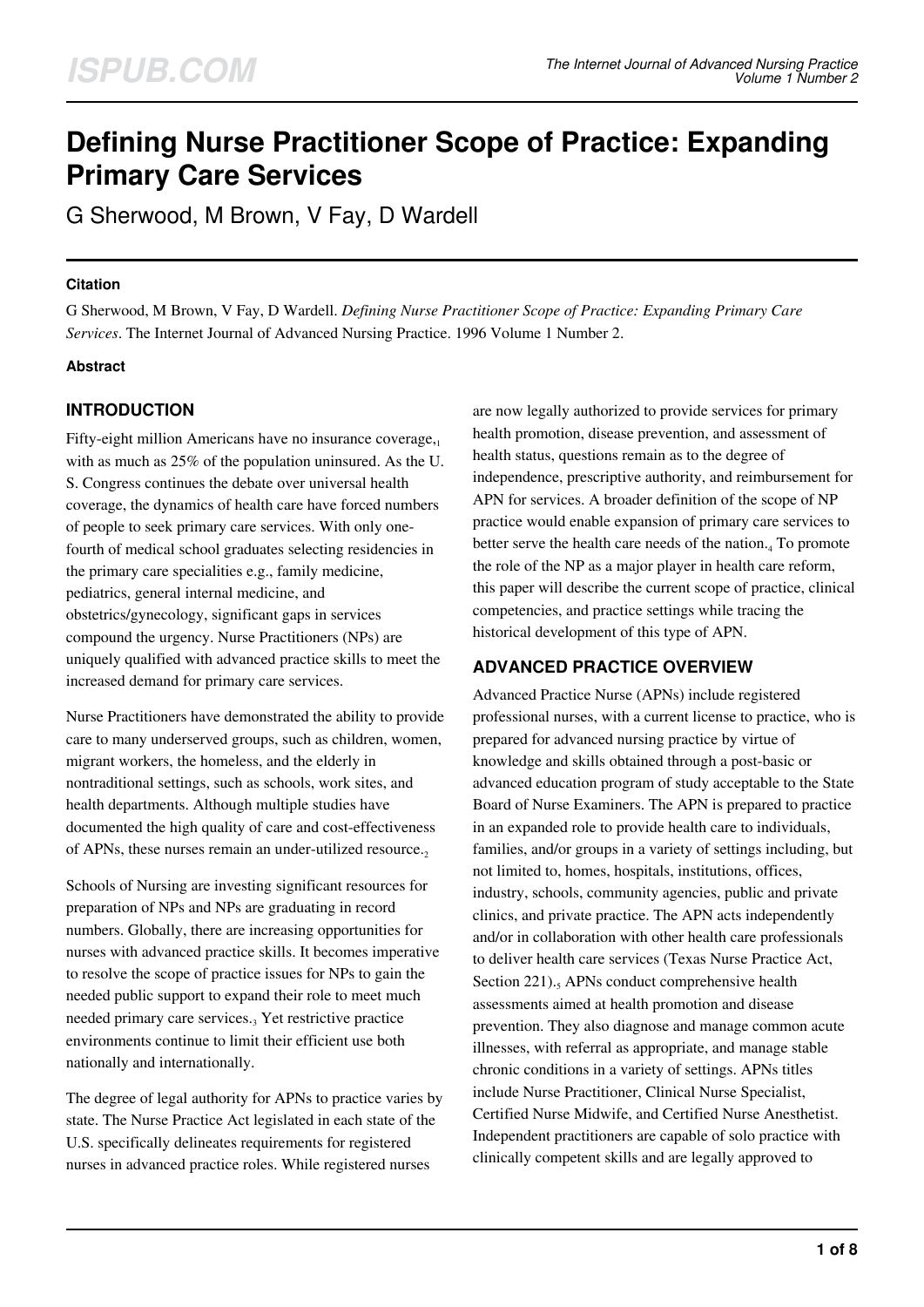# **Defining Nurse Practitioner Scope of Practice: Expanding Primary Care Services**

G Sherwood, M Brown, V Fay, D Wardell

#### **Citation**

G Sherwood, M Brown, V Fay, D Wardell. *Defining Nurse Practitioner Scope of Practice: Expanding Primary Care Services*. The Internet Journal of Advanced Nursing Practice. 1996 Volume 1 Number 2.

## **Abstract**

# **INTRODUCTION**

Fifty-eight million Americans have no insurance coverage, $1$ with as much as 25% of the population uninsured. As the U. S. Congress continues the debate over universal health coverage, the dynamics of health care have forced numbers of people to seek primary care services. With only onefourth of medical school graduates selecting residencies in the primary care specialities e.g., family medicine, pediatrics, general internal medicine, and obstetrics/gynecology, significant gaps in services compound the urgency. Nurse Practitioners (NPs) are uniquely qualified with advanced practice skills to meet the increased demand for primary care services.

Nurse Practitioners have demonstrated the ability to provide care to many underserved groups, such as children, women, migrant workers, the homeless, and the elderly in nontraditional settings, such as schools, work sites, and health departments. Although multiple studies have documented the high quality of care and cost-effectiveness of APNs, these nurses remain an under-utilized resource.

Schools of Nursing are investing significant resources for preparation of NPs and NPs are graduating in record numbers. Globally, there are increasing opportunities for nurses with advanced practice skills. It becomes imperative to resolve the scope of practice issues for NPs to gain the needed public support to expand their role to meet much needed primary care services.<sub>3</sub> Yet restrictive practice environments continue to limit their efficient use both nationally and internationally.

The degree of legal authority for APNs to practice varies by state. The Nurse Practice Act legislated in each state of the U.S. specifically delineates requirements for registered nurses in advanced practice roles. While registered nurses

are now legally authorized to provide services for primary health promotion, disease prevention, and assessment of health status, questions remain as to the degree of independence, prescriptive authority, and reimbursement for APN for services. A broader definition of the scope of NP practice would enable expansion of primary care services to better serve the health care needs of the nation.<sub>4</sub> To promote the role of the NP as a major player in health care reform, this paper will describe the current scope of practice, clinical competencies, and practice settings while tracing the historical development of this type of APN.

# **ADVANCED PRACTICE OVERVIEW**

Advanced Practice Nurse (APNs) include registered professional nurses, with a current license to practice, who is prepared for advanced nursing practice by virtue of knowledge and skills obtained through a post-basic or advanced education program of study acceptable to the State Board of Nurse Examiners. The APN is prepared to practice in an expanded role to provide health care to individuals, families, and/or groups in a variety of settings including, but not limited to, homes, hospitals, institutions, offices, industry, schools, community agencies, public and private clinics, and private practice. The APN acts independently and/or in collaboration with other health care professionals to deliver health care services (Texas Nurse Practice Act, Section 221).<sub>5</sub> APNs conduct comprehensive health assessments aimed at health promotion and disease prevention. They also diagnose and manage common acute illnesses, with referral as appropriate, and manage stable chronic conditions in a variety of settings. APNs titles include Nurse Practitioner, Clinical Nurse Specialist, Certified Nurse Midwife, and Certified Nurse Anesthetist. Independent practitioners are capable of solo practice with clinically competent skills and are legally approved to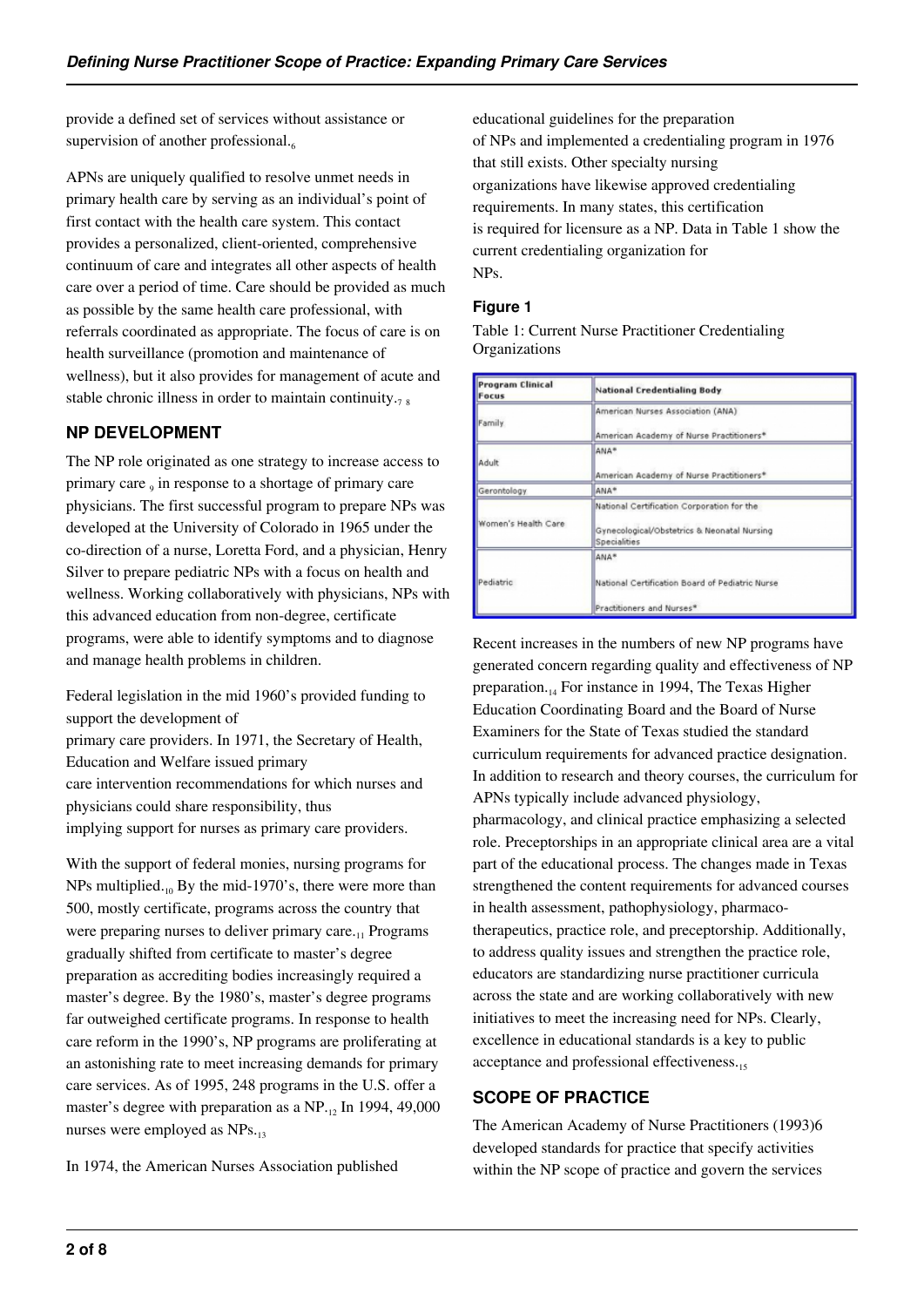provide a defined set of services without assistance or supervision of another professional. $6$ 

APNs are uniquely qualified to resolve unmet needs in primary health care by serving as an individual's point of first contact with the health care system. This contact provides a personalized, client-oriented, comprehensive continuum of care and integrates all other aspects of health care over a period of time. Care should be provided as much as possible by the same health care professional, with referrals coordinated as appropriate. The focus of care is on health surveillance (promotion and maintenance of wellness), but it also provides for management of acute and stable chronic illness in order to maintain continuity. $7 \times 8$ 

# **NP DEVELOPMENT**

The NP role originated as one strategy to increase access to primary care  $_9$  in response to a shortage of primary care physicians. The first successful program to prepare NPs was developed at the University of Colorado in 1965 under the co-direction of a nurse, Loretta Ford, and a physician, Henry Silver to prepare pediatric NPs with a focus on health and wellness. Working collaboratively with physicians, NPs with this advanced education from non-degree, certificate programs, were able to identify symptoms and to diagnose and manage health problems in children.

Federal legislation in the mid 1960's provided funding to support the development of primary care providers. In 1971, the Secretary of Health, Education and Welfare issued primary care intervention recommendations for which nurses and physicians could share responsibility, thus implying support for nurses as primary care providers.

With the support of federal monies, nursing programs for NPs multiplied. $_{10}$  By the mid-1970's, there were more than 500, mostly certificate, programs across the country that were preparing nurses to deliver primary care. $_{11}$  Programs gradually shifted from certificate to master's degree preparation as accrediting bodies increasingly required a master's degree. By the 1980's, master's degree programs far outweighed certificate programs. In response to health care reform in the 1990's, NP programs are proliferating at an astonishing rate to meet increasing demands for primary care services. As of 1995, 248 programs in the U.S. offer a master's degree with preparation as a NP.<sub>12</sub> In 1994, 49,000 nurses were employed as NPs.13

In 1974, the American Nurses Association published

educational guidelines for the preparation of NPs and implemented a credentialing program in 1976 that still exists. Other specialty nursing organizations have likewise approved credentialing requirements. In many states, this certification is required for licensure as a NP. Data in Table 1 show the current credentialing organization for NPs.

## **Figure 1**

Table 1: Current Nurse Practitioner Credentialing Organizations

| <b>Program Clinical</b><br>Focus | <b>National Credentialing Body</b>                                                                        |  |
|----------------------------------|-----------------------------------------------------------------------------------------------------------|--|
| Family                           | American Nurses Association (ANA)<br>American Academy of Nurse Practitioners*                             |  |
| Adult                            | ANA*<br>American Academy of Nurse Practitioners*                                                          |  |
| Gerontology                      | ANA*                                                                                                      |  |
| Women's Health Care              | National Certification Corporation for the<br>Gynecological/Obstetrics & Neonatal Nursing<br>Specialities |  |
| Pediatric                        | ANA*<br>National Certification Board of Pediatric Nurse<br>Practitioners and Nurses*                      |  |

Recent increases in the numbers of new NP programs have generated concern regarding quality and effectiveness of NP preparation. $_{14}$  For instance in 1994, The Texas Higher Education Coordinating Board and the Board of Nurse Examiners for the State of Texas studied the standard curriculum requirements for advanced practice designation. In addition to research and theory courses, the curriculum for APNs typically include advanced physiology, pharmacology, and clinical practice emphasizing a selected role. Preceptorships in an appropriate clinical area are a vital part of the educational process. The changes made in Texas strengthened the content requirements for advanced courses in health assessment, pathophysiology, pharmacotherapeutics, practice role, and preceptorship. Additionally, to address quality issues and strengthen the practice role, educators are standardizing nurse practitioner curricula across the state and are working collaboratively with new initiatives to meet the increasing need for NPs. Clearly, excellence in educational standards is a key to public acceptance and professional effectiveness.

# **SCOPE OF PRACTICE**

The American Academy of Nurse Practitioners (1993)6 developed standards for practice that specify activities within the NP scope of practice and govern the services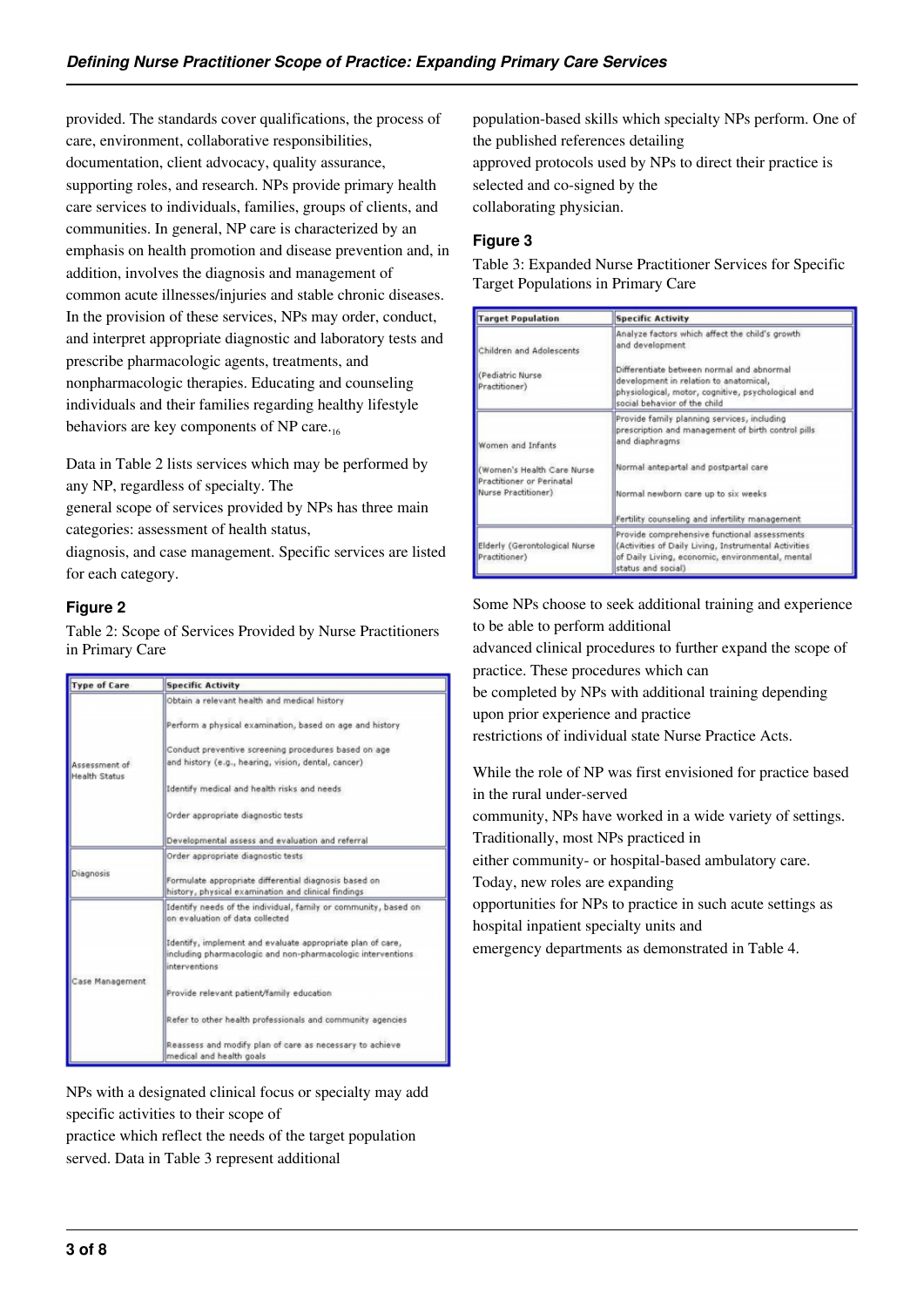provided. The standards cover qualifications, the process of care, environment, collaborative responsibilities, documentation, client advocacy, quality assurance, supporting roles, and research. NPs provide primary health care services to individuals, families, groups of clients, and communities. In general, NP care is characterized by an emphasis on health promotion and disease prevention and, in addition, involves the diagnosis and management of common acute illnesses/injuries and stable chronic diseases. In the provision of these services, NPs may order, conduct, and interpret appropriate diagnostic and laboratory tests and prescribe pharmacologic agents, treatments, and nonpharmacologic therapies. Educating and counseling individuals and their families regarding healthy lifestyle behaviors are key components of NP care.<sup>16</sup>

Data in Table 2 lists services which may be performed by any NP, regardless of specialty. The

general scope of services provided by NPs has three main categories: assessment of health status,

diagnosis, and case management. Specific services are listed for each category.

## **Figure 2**

Table 2: Scope of Services Provided by Nurse Practitioners in Primary Care

| <b>Type of Care</b>                   | <b>Specific Activity</b>                                                                                                                                                                                                                                                                                                                                                                                                                                   |  |
|---------------------------------------|------------------------------------------------------------------------------------------------------------------------------------------------------------------------------------------------------------------------------------------------------------------------------------------------------------------------------------------------------------------------------------------------------------------------------------------------------------|--|
| Assessment of<br><b>Health Status</b> | Obtain a relevant health and medical history<br>Perform a physical examination, based on age and history<br>Conduct preventive screening procedures based on age<br>and history (e.g., hearing, vision, dental, cancer)<br>Identify medical and health risks and needs<br>Order appropriate diagnostic tests                                                                                                                                               |  |
|                                       | Developmental assess and evaluation and referral                                                                                                                                                                                                                                                                                                                                                                                                           |  |
| Diagnosis                             | Order appropriate diagnostic tests<br>Formulate appropriate differential diagnosis based on<br>history, physical examination and clinical findings                                                                                                                                                                                                                                                                                                         |  |
| Case Management                       | Identify needs of the individual, family or community, based on<br>on evaluation of data collected<br>Identify, implement and evaluate appropriate plan of care,<br>including pharmacologic and non-pharmacologic interventions<br><i>interventions</i><br>Provide relevant patient/family education<br>Refer to other health professionals and community agencies<br>Reassess and modify plan of care as necessary to achieve<br>medical and health goals |  |

NPs with a designated clinical focus or specialty may add specific activities to their scope of practice which reflect the needs of the target population

served. Data in Table 3 represent additional

population-based skills which specialty NPs perform. One of the published references detailing approved protocols used by NPs to direct their practice is selected and co-signed by the collaborating physician.

## **Figure 3**

Table 3: Expanded Nurse Practitioner Services for Specific Target Populations in Primary Care

| <b>Target Population</b>                                                                             | <b>Specific Activity</b>                                                                                                                                                                                                                               |  |
|------------------------------------------------------------------------------------------------------|--------------------------------------------------------------------------------------------------------------------------------------------------------------------------------------------------------------------------------------------------------|--|
| Children and Adolescents<br>(Pediatric Nurse)<br>Practitioner)                                       | Analyze factors which affect the child's growth<br>and development<br>Differentiate between normal and abnormal<br>development in relation to anatomical,<br>physiological, motor, cognitive, psychological and<br>social behavior of the child        |  |
| Women and Infants<br>(Women's Health Care Nurse)<br>Practitioner or Perinatal<br>Nurse Practitioner) | Provide family planning services, including<br>prescription and management of birth control pills<br>and diaphragms<br>Normal antepartal and postpartal care<br>Normal newborn care up to six weeks<br>Fertility counseling and infertility management |  |
| Elderly (Gerontological Nurse<br>Practitioner)                                                       | Provide comprehensive functional assessments<br>(Activities of Daily Living, Instrumental Activities<br>of Daily Living, economic, environmental, mental<br>status and social)                                                                         |  |

Some NPs choose to seek additional training and experience to be able to perform additional

advanced clinical procedures to further expand the scope of practice. These procedures which can

be completed by NPs with additional training depending upon prior experience and practice

restrictions of individual state Nurse Practice Acts.

While the role of NP was first envisioned for practice based in the rural under-served

community, NPs have worked in a wide variety of settings. Traditionally, most NPs practiced in

either community- or hospital-based ambulatory care.

Today, new roles are expanding

opportunities for NPs to practice in such acute settings as hospital inpatient specialty units and

emergency departments as demonstrated in Table 4.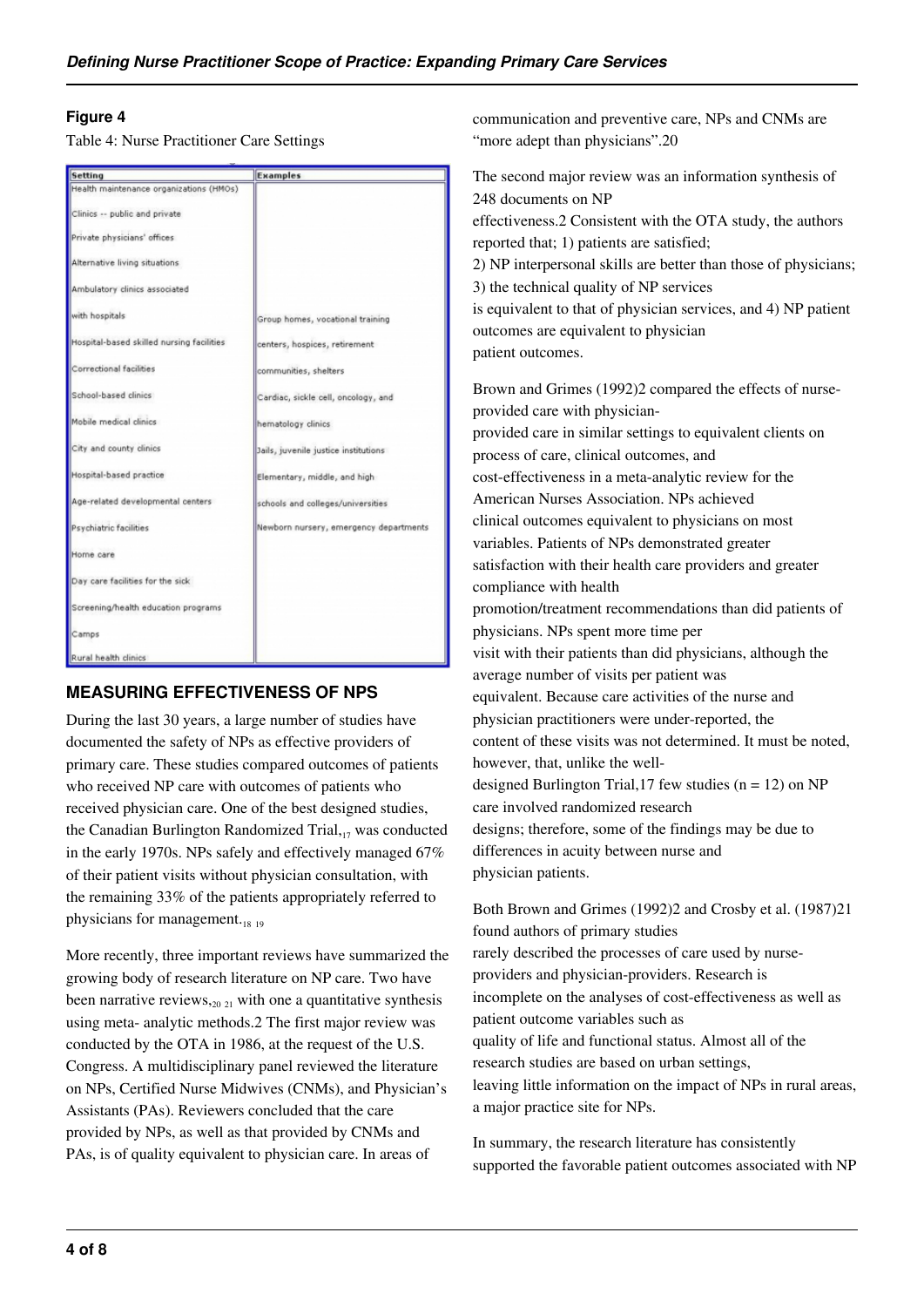#### **Figure 4**

Table 4: Nurse Practitioner Care Settings

| Setting                                   | <b>Examples</b>                        |
|-------------------------------------------|----------------------------------------|
| Health maintenance organizations (HMOs)   |                                        |
| Clinics -- public and private             |                                        |
| Private physicians' offices               |                                        |
| Alternative living situations             |                                        |
| Ambulatory clinics associated             |                                        |
| with hospitals                            | Group homes, vocational training       |
| Hospital-based skilled nursing facilities | centers, hospices, retirement          |
| Correctional facilities                   | communities, shelters                  |
| School-based clinics                      | Cardiac, sickle cell, oncology, and    |
| Mobile medical clinics                    | hematology clinics                     |
| City and county clinics                   | Jails, juvenile justice institutions   |
| Hospital-based practice                   | Elementary, middle, and high           |
| Age-related developmental centers         | schools and colleges/universities      |
| Psychiatric facilities                    | Newborn nursery, emergency departments |
| Home care                                 |                                        |
| Day care facilities for the sick          |                                        |
| Screening/health education programs       |                                        |
| Camps                                     |                                        |
| Rural health clinics                      |                                        |

# **MEASURING EFFECTIVENESS OF NPS**

During the last 30 years, a large number of studies have documented the safety of NPs as effective providers of primary care. These studies compared outcomes of patients who received NP care with outcomes of patients who received physician care. One of the best designed studies, the Canadian Burlington Randomized Trial, $_{17}$  was conducted in the early 1970s. NPs safely and effectively managed 67% of their patient visits without physician consultation, with the remaining 33% of the patients appropriately referred to physicians for management. $_{18}$  19

More recently, three important reviews have summarized the growing body of research literature on NP care. Two have been narrative reviews,  $20 \times 21$  with one a quantitative synthesis using meta- analytic methods.2 The first major review was conducted by the OTA in 1986, at the request of the U.S. Congress. A multidisciplinary panel reviewed the literature on NPs, Certified Nurse Midwives (CNMs), and Physician's Assistants (PAs). Reviewers concluded that the care provided by NPs, as well as that provided by CNMs and PAs, is of quality equivalent to physician care. In areas of

communication and preventive care, NPs and CNMs are "more adept than physicians".20"

The second major review was an information synthesis of 248 documents on NP effectiveness.2 Consistent with the OTA study, the authors reported that; 1) patients are satisfied; 2) NP interpersonal skills are better than those of physicians; 3) the technical quality of NP services is equivalent to that of physician services, and 4) NP patient outcomes are equivalent to physician patient outcomes.

Brown and Grimes (1992)2 compared the effects of nurseprovided care with physicianprovided care in similar settings to equivalent clients on process of care, clinical outcomes, and cost-effectiveness in a meta-analytic review for the American Nurses Association. NPs achieved clinical outcomes equivalent to physicians on most variables. Patients of NPs demonstrated greater satisfaction with their health care providers and greater compliance with health promotion/treatment recommendations than did patients of physicians. NPs spent more time per visit with their patients than did physicians, although the average number of visits per patient was equivalent. Because care activities of the nurse and physician practitioners were under-reported, the content of these visits was not determined. It must be noted, however, that, unlike the welldesigned Burlington Trial, 17 few studies  $(n = 12)$  on NP care involved randomized research designs; therefore, some of the findings may be due to differences in acuity between nurse and physician patients.

Both Brown and Grimes (1992)2 and Crosby et al. (1987)21 found authors of primary studies rarely described the processes of care used by nurseproviders and physician-providers. Research is incomplete on the analyses of cost-effectiveness as well as patient outcome variables such as quality of life and functional status. Almost all of the research studies are based on urban settings, leaving little information on the impact of NPs in rural areas, a major practice site for NPs.

In summary, the research literature has consistently supported the favorable patient outcomes associated with NP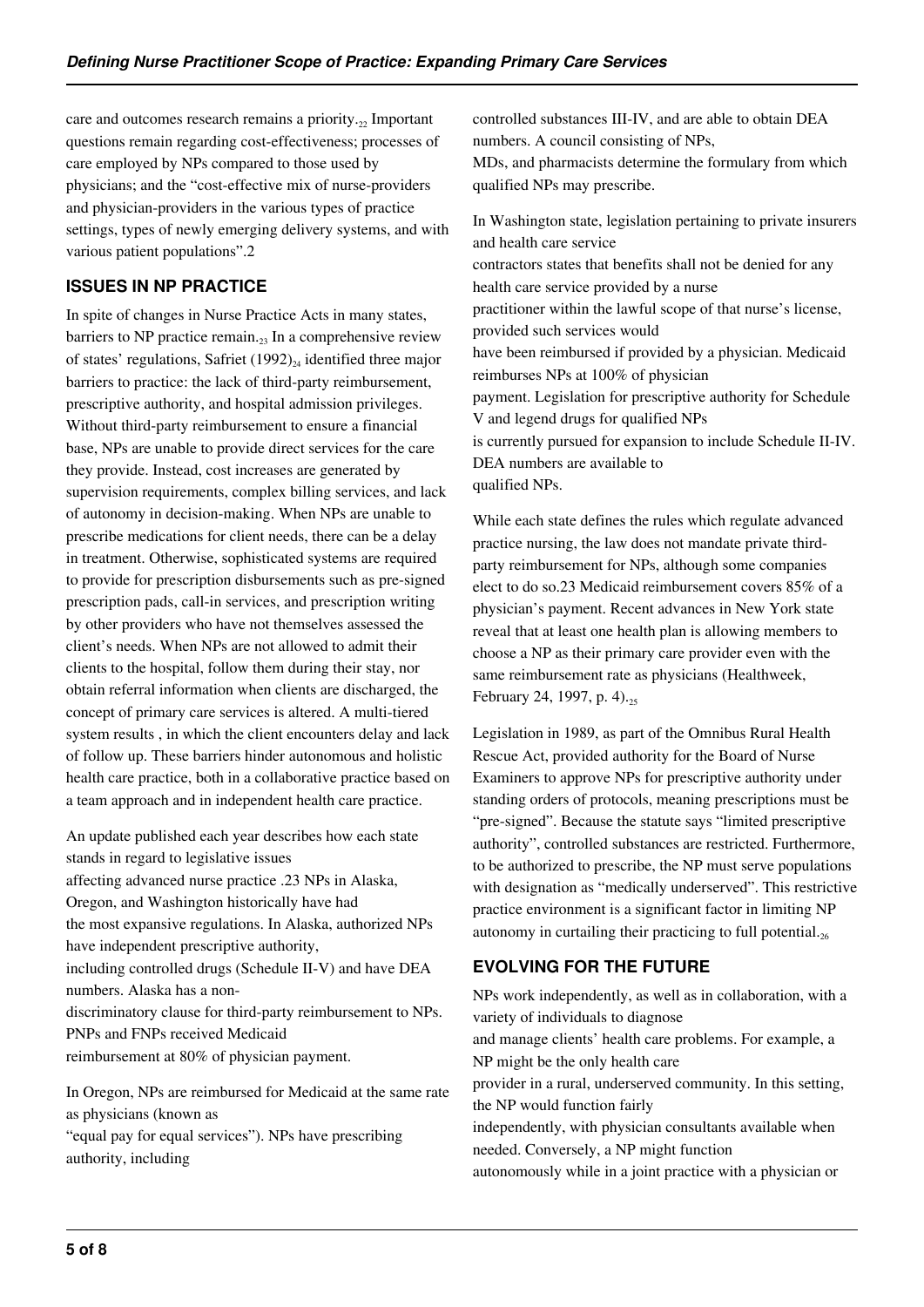care and outcomes research remains a priority. $_{22}$  Important questions remain regarding cost-effectiveness; processes of care employed by NPs compared to those used by physicians; and the "cost-effective mix of nurse-providers and physician-providers in the various types of practice settings, types of newly emerging delivery systems, and with various patient populations".2

# **ISSUES IN NP PRACTICE**

In spite of changes in Nurse Practice Acts in many states, barriers to NP practice remain. $_{23}$  In a comprehensive review of states' regulations, Safriet  $(1992)_{24}$  identified three major barriers to practice: the lack of third-party reimbursement, prescriptive authority, and hospital admission privileges. Without third-party reimbursement to ensure a financial base, NPs are unable to provide direct services for the care they provide. Instead, cost increases are generated by supervision requirements, complex billing services, and lack of autonomy in decision-making. When NPs are unable to prescribe medications for client needs, there can be a delay in treatment. Otherwise, sophisticated systems are required to provide for prescription disbursements such as pre-signed prescription pads, call-in services, and prescription writing by other providers who have not themselves assessed the client's needs. When NPs are not allowed to admit their clients to the hospital, follow them during their stay, nor obtain referral information when clients are discharged, the concept of primary care services is altered. A multi-tiered system results , in which the client encounters delay and lack of follow up. These barriers hinder autonomous and holistic health care practice, both in a collaborative practice based on a team approach and in independent health care practice.

An update published each year describes how each state stands in regard to legislative issues affecting advanced nurse practice .23 NPs in Alaska, Oregon, and Washington historically have had the most expansive regulations. In Alaska, authorized NPs have independent prescriptive authority, including controlled drugs (Schedule II-V) and have DEA numbers. Alaska has a nondiscriminatory clause for third-party reimbursement to NPs. PNPs and FNPs received Medicaid reimbursement at 80% of physician payment.

In Oregon, NPs are reimbursed for Medicaid at the same rate as physicians (known as

"equal pay for equal services"). NPs have prescribing authority, including

controlled substances III-IV, and are able to obtain DEA numbers. A council consisting of NPs,

MDs, and pharmacists determine the formulary from which qualified NPs may prescribe.

In Washington state, legislation pertaining to private insurers and health care service contractors states that benefits shall not be denied for any health care service provided by a nurse practitioner within the lawful scope of that nurse's license, provided such services would have been reimbursed if provided by a physician. Medicaid reimburses NPs at 100% of physician payment. Legislation for prescriptive authority for Schedule V and legend drugs for qualified NPs is currently pursued for expansion to include Schedule II-IV. DEA numbers are available to qualified NPs.

While each state defines the rules which regulate advanced practice nursing, the law does not mandate private thirdparty reimbursement for NPs, although some companies elect to do so.23 Medicaid reimbursement covers 85% of a physician's payment. Recent advances in New York state reveal that at least one health plan is allowing members to choose a NP as their primary care provider even with the same reimbursement rate as physicians (Healthweek, February 24, 1997, p. 4).<sub>25</sub>

Legislation in 1989, as part of the Omnibus Rural Health Rescue Act, provided authority for the Board of Nurse Examiners to approve NPs for prescriptive authority under standing orders of protocols, meaning prescriptions must be "pre-signed". Because the statute says "limited prescriptive authority", controlled substances are restricted. Furthermore, to be authorized to prescribe, the NP must serve populations with designation as "medically underserved". This restrictive practice environment is a significant factor in limiting NP autonomy in curtailing their practicing to full potential. $_{26}$ 

# **EVOLVING FOR THE FUTURE**

NPs work independently, as well as in collaboration, with a variety of individuals to diagnose and manage clients' health care problems. For example, a NP might be the only health care provider in a rural, underserved community. In this setting, the NP would function fairly independently, with physician consultants available when needed. Conversely, a NP might function autonomously while in a joint practice with a physician or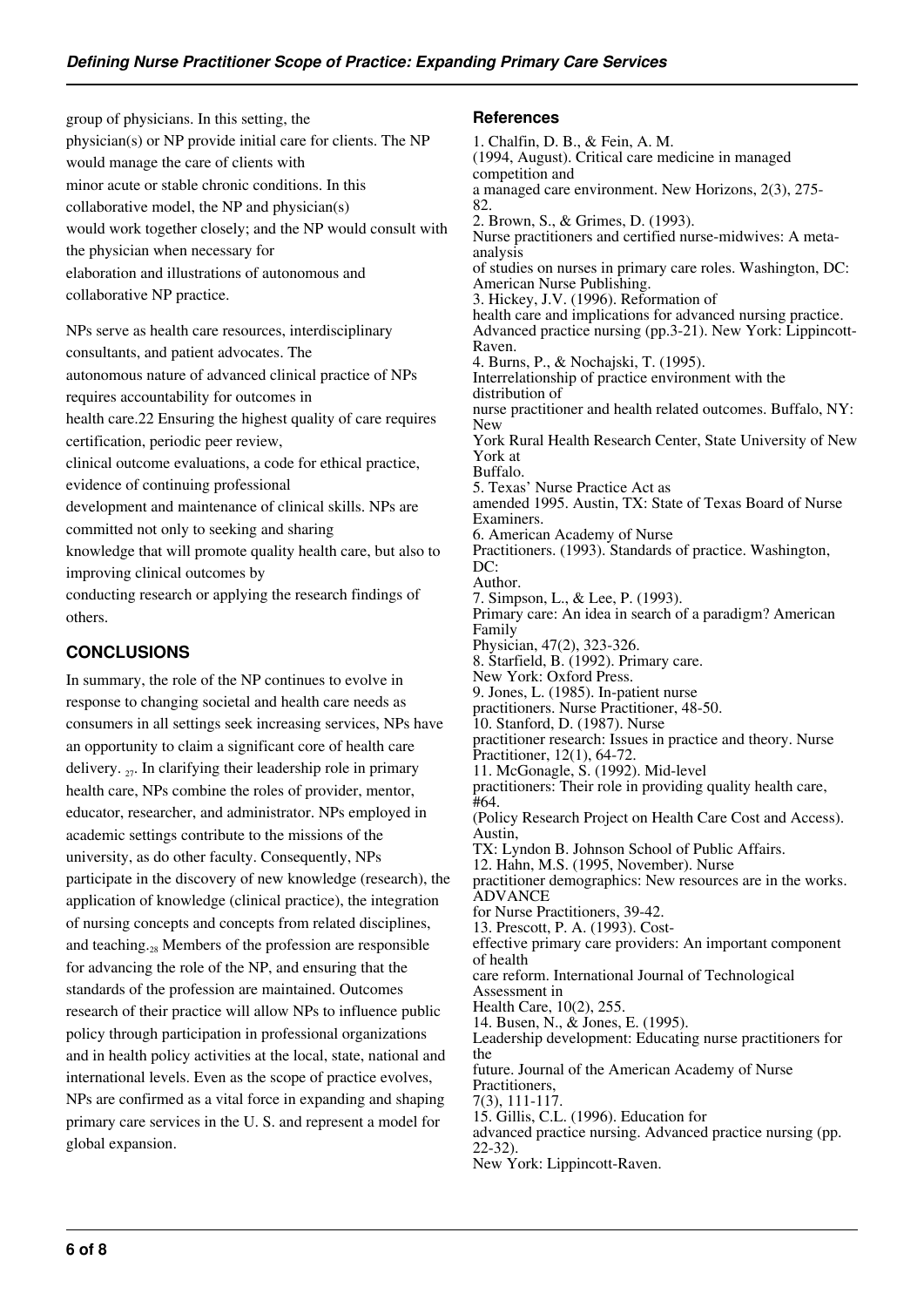group of physicians. In this setting, the physician(s) or NP provide initial care for clients. The NP would manage the care of clients with minor acute or stable chronic conditions. In this collaborative model, the NP and physician(s) would work together closely; and the NP would consult with the physician when necessary for elaboration and illustrations of autonomous and collaborative NP practice.

NPs serve as health care resources, interdisciplinary consultants, and patient advocates. The autonomous nature of advanced clinical practice of NPs requires accountability for outcomes in health care.22 Ensuring the highest quality of care requires certification, periodic peer review, clinical outcome evaluations, a code for ethical practice, evidence of continuing professional development and maintenance of clinical skills. NPs are committed not only to seeking and sharing knowledge that will promote quality health care, but also to improving clinical outcomes by

conducting research or applying the research findings of others.

# **CONCLUSIONS**

In summary, the role of the NP continues to evolve in response to changing societal and health care needs as consumers in all settings seek increasing services, NPs have an opportunity to claim a significant core of health care delivery.  $_{27}$ . In clarifying their leadership role in primary health care, NPs combine the roles of provider, mentor, educator, researcher, and administrator. NPs employed in academic settings contribute to the missions of the university, as do other faculty. Consequently, NPs participate in the discovery of new knowledge (research), the application of knowledge (clinical practice), the integration of nursing concepts and concepts from related disciplines, and teaching. $\alpha$ <sub>28</sub> Members of the profession are responsible for advancing the role of the NP, and ensuring that the standards of the profession are maintained. Outcomes research of their practice will allow NPs to influence public policy through participation in professional organizations and in health policy activities at the local, state, national and international levels. Even as the scope of practice evolves, NPs are confirmed as a vital force in expanding and shaping primary care services in the U. S. and represent a model for global expansion.

#### **References**

1. Chalfin, D. B., & Fein, A. M. (1994, August). Critical care medicine in managed competition and a managed care environment. New Horizons, 2(3), 275- 82. 2. Brown, S., & Grimes, D. (1993). Nurse practitioners and certified nurse-midwives: A metaanalysis of studies on nurses in primary care roles. Washington, DC: American Nurse Publishing. 3. Hickey, J.V. (1996). Reformation of health care and implications for advanced nursing practice. Advanced practice nursing (pp.3-21). New York: Lippincott-Raven. 4. Burns, P., & Nochajski, T. (1995). Interrelationship of practice environment with the distribution of nurse practitioner and health related outcomes. Buffalo, NY: New York Rural Health Research Center, State University of New York at Buffalo. 5. Texas' Nurse Practice Act as amended 1995. Austin, TX: State of Texas Board of Nurse Examiners. 6. American Academy of Nurse Practitioners. (1993). Standards of practice. Washington, DC: Author. 7. Simpson, L., & Lee, P. (1993). Primary care: An idea in search of a paradigm? American Family Physician, 47(2), 323-326. 8. Starfield, B. (1992). Primary care. New York: Oxford Press. 9. Jones, L. (1985). In-patient nurse practitioners. Nurse Practitioner, 48-50. 10. Stanford, D. (1987). Nurse practitioner research: Issues in practice and theory. Nurse Practitioner, 12(1), 64-72. 11. McGonagle, S. (1992). Mid-level practitioners: Their role in providing quality health care, #64. (Policy Research Project on Health Care Cost and Access). Austin, TX: Lyndon B. Johnson School of Public Affairs. 12. Hahn, M.S. (1995, November). Nurse practitioner demographics: New resources are in the works. **ADVANCE** for Nurse Practitioners, 39-42. 13. Prescott, P. A. (1993). Costeffective primary care providers: An important component of health care reform. International Journal of Technological Assessment in Health Care, 10(2), 255. 14. Busen, N., & Jones, E. (1995). Leadership development: Educating nurse practitioners for the future. Journal of the American Academy of Nurse Practitioners, 7(3), 111-117. 15. Gillis, C.L. (1996). Education for advanced practice nursing. Advanced practice nursing (pp. 22-32).

New York: Lippincott-Raven.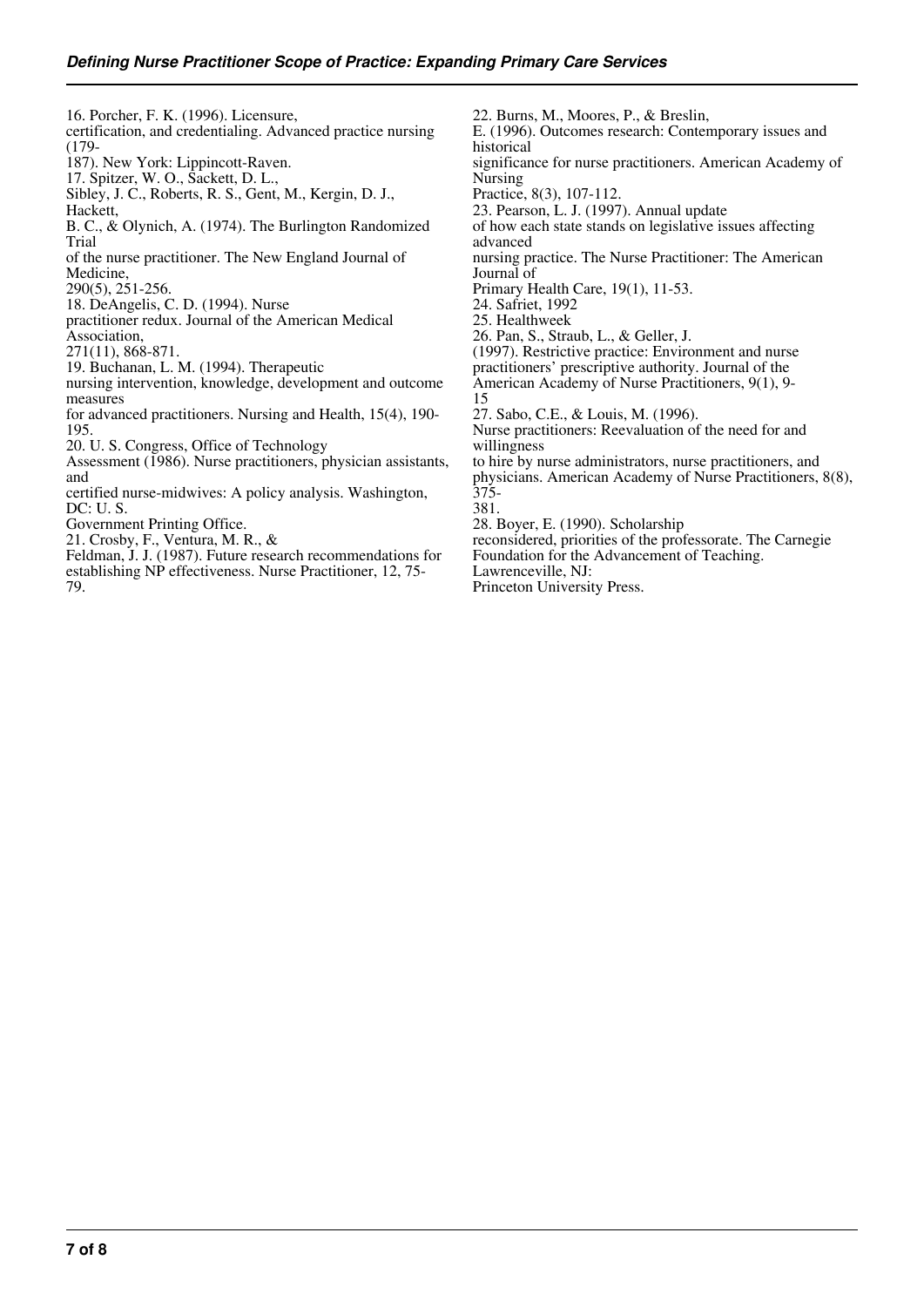16. Porcher, F. K. (1996). Licensure, certification, and credentialing. Advanced practice nursing (179-

187). New York: Lippincott-Raven.

17. Spitzer, W. O., Sackett, D. L.,

Sibley, J. C., Roberts, R. S., Gent, M., Kergin, D. J., Hackett,

B. C., & Olynich, A. (1974). The Burlington Randomized Trial

of the nurse practitioner. The New England Journal of Medicine,

290(5), 251-256.

18. DeAngelis, C. D. (1994). Nurse

practitioner redux. Journal of the American Medical

Association,

271(11), 868-871. 19. Buchanan, L. M. (1994). Therapeutic

nursing intervention, knowledge, development and outcome measures

for advanced practitioners. Nursing and Health, 15(4), 190- 195.

20. U. S. Congress, Office of Technology

Assessment (1986). Nurse practitioners, physician assistants, and

certified nurse-midwives: A policy analysis. Washington, DC: U. S.

Government Printing Office.

21. Crosby, F., Ventura, M. R., &

Feldman, J. J. (1987). Future research recommendations for establishing NP effectiveness. Nurse Practitioner, 12, 75- 79.

22. Burns, M., Moores, P., & Breslin, E. (1996). Outcomes research: Contemporary issues and historical significance for nurse practitioners. American Academy of Nursing Practice, 8(3), 107-112. 23. Pearson, L. J. (1997). Annual update of how each state stands on legislative issues affecting advanced nursing practice. The Nurse Practitioner: The American Journal of Primary Health Care, 19(1), 11-53. 24. Safriet, 1992 25. Healthweek 26. Pan, S., Straub, L., & Geller, J. (1997). Restrictive practice: Environment and nurse practitioners' prescriptive authority. Journal of the American Academy of Nurse Practitioners, 9(1), 9- 15 27. Sabo, C.E., & Louis, M. (1996). Nurse practitioners: Reevaluation of the need for and willingness to hire by nurse administrators, nurse practitioners, and physicians. American Academy of Nurse Practitioners, 8(8), 375- 381.

28. Boyer, E. (1990). Scholarship

reconsidered, priorities of the professorate. The Carnegie

Foundation for the Advancement of Teaching.

Lawrenceville, NJ: Princeton University Press.